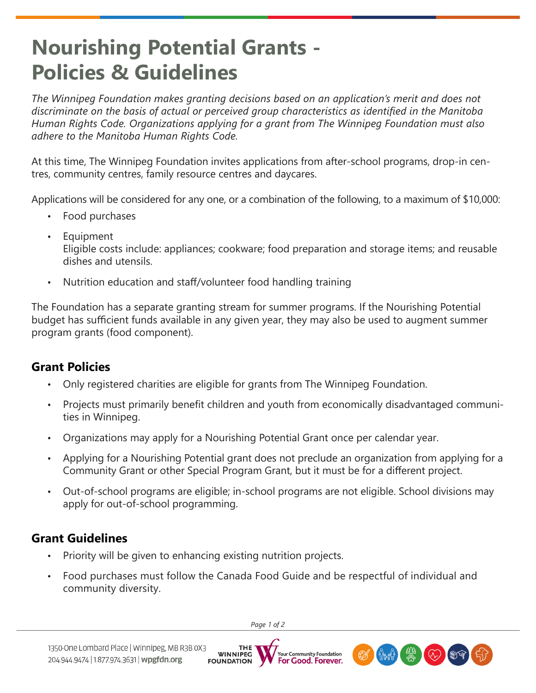# **Nourishing Potential Grants - Policies & Guidelines**

*The Winnipeg Foundation makes granting decisions based on an application's merit and does not discriminate on the basis of actual or perceived group characteristics as identified in the Manitoba Human Rights Code. Organizations applying for a grant from The Winnipeg Foundation must also adhere to the Manitoba Human Rights Code.*

At this time, The Winnipeg Foundation invites applications from after-school programs, drop-in centres, community centres, family resource centres and daycares.

Applications will be considered for any one, or a combination of the following, to a maximum of \$10,000:

- Food purchases
- **Equipment** Eligible costs include: appliances; cookware; food preparation and storage items; and reusable dishes and utensils.
- Nutrition education and staff/volunteer food handling training

The Foundation has a separate granting stream for summer programs. If the Nourishing Potential budget has sufficient funds available in any given year, they may also be used to augment summer program grants (food component).

## **Grant Policies**

- Only registered charities are eligible for grants from The Winnipeg Foundation.
- Projects must primarily benefit children and youth from economically disadvantaged communities in Winnipeg.
- Organizations may apply for a Nourishing Potential Grant once per calendar year.
- Applying for a Nourishing Potential grant does not preclude an organization from applying for a Community Grant or other Special Program Grant, but it must be for a different project.
- Out-of-school programs are eligible; in-school programs are not eligible. School divisions may apply for out-of-school programming.

## **Grant Guidelines**

- Priority will be given to enhancing existing nutrition projects.
- Food purchases must follow the Canada Food Guide and be respectful of individual and community diversity.

*Page 1 of 2*

**THE**